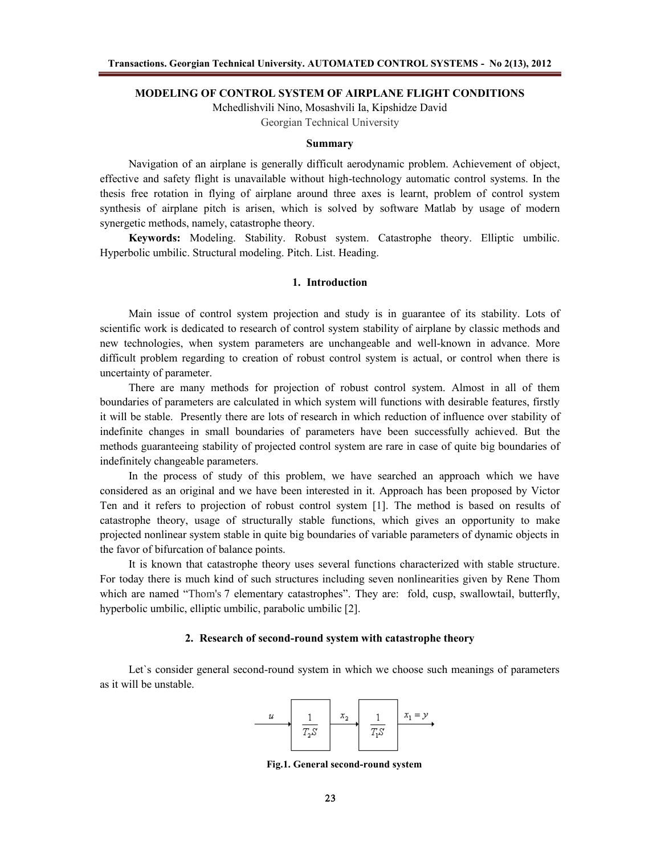#### **MODELING OF CONTROL SYSTEM OF AIRPLANE FLIGHT CONDITIONS**

Mchedlishvili Nino, Mosashvili Ia, Kipshidze David

Georgian Technical University

### **Summary**

Navigation of an airplane is generally difficult aerodynamic problem. Achievement of object, effective and safety flight is unavailable without high-technology automatic control systems. In the thesis free rotation in flying of airplane around three axes is learnt, problem of control system synthesis of airplane pitch is arisen, which is solved by software Matlab by usage of modern synergetic methods, namely, catastrophe theory.

**Keywords:** Modeling. Stability. Robust system. Catastrophe theory. Elliptic umbilic. Hyperbolic umbilic. Structural modeling. Pitch. List. Heading.

# **1. Introduction**

Main issue of control system projection and study is in guarantee of its stability. Lots of scientific work is dedicated to research of control system stability of airplane by classic methods and new technologies, when system parameters are unchangeable and well-known in advance. More difficult problem regarding to creation of robust control system is actual, or control when there is uncertainty of parameter.

There are many methods for projection of robust control system. Almost in all of them boundaries of parameters are calculated in which system will functions with desirable features, firstly it will be stable. Presently there are lots of research in which reduction of influence over stability of indefinite changes in small boundaries of parameters have been successfully achieved. But the methods guaranteeing stability of projected control system are rare in case of quite big boundaries of indefinitely changeable parameters.

In the process of study of this problem, we have searched an approach which we have considered as an original and we have been interested in it. Approach has been proposed by Victor Ten and it refers to projection of robust control system [1]. The method is based on results of catastrophe theory, usage of structurally stable functions, which gives an opportunity to make projected nonlinear system stable in quite big boundaries of variable parameters of dynamic objects in the favor of bifurcation of balance points.

It is known that catastrophe theory uses several functions characterized with stable structure. For today there is much kind of such structures including seven nonlinearities given by Rene Thom which are named "Thom's 7 elementary catastrophes". They are: fold, cusp, swallowtail, butterfly, hyperbolic umbilic, elliptic umbilic, parabolic umbilic [2].

### **2. Research of second-round system with catastrophe theory**

Let's consider general second-round system in which we choose such meanings of parameters as it will be unstable.



**Fig.1. General second-round system**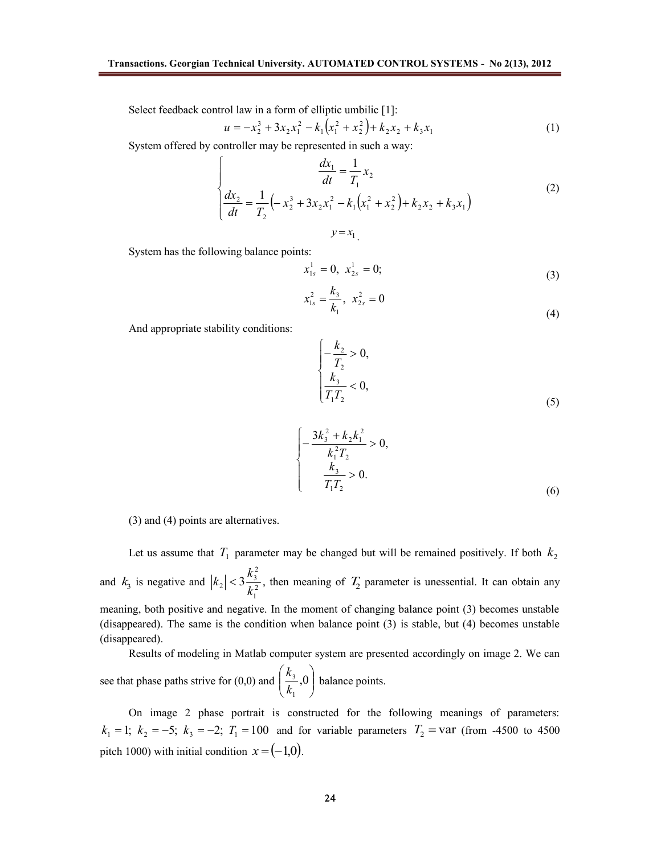Select feedback control law in a form of elliptic umbilic [1]:

$$
u = -x_2^3 + 3x_2x_1^2 - k_1(x_1^2 + x_2^2) + k_2x_2 + k_3x_1
$$
 (1)

System offered by controller may be represented in such a way:

$$
\begin{cases}\n\frac{dx_1}{dt} = \frac{1}{T_1} x_2 \\
\frac{dx_2}{dt} = \frac{1}{T_2} \left( -x_2^3 + 3x_2 x_1^2 - k_1 \left( x_1^2 + x_2^2 \right) + k_2 x_2 + k_3 x_1 \right) \\
y = x_1\n\end{cases}
$$
\n(2)

System has the following balance points:

$$
x_{1s}^1 = 0, \ \ x_{2s}^1 = 0; \tag{3}
$$

$$
x_{1s}^2 = \frac{k_3}{k_1}, \ \ x_{2s}^2 = 0 \tag{4}
$$

And appropriate stability conditions:

$$
\begin{cases}\n-\frac{k_2}{T_2} > 0, \\
\frac{k_3}{T_1 T_2} < 0,\n\end{cases} \tag{5}
$$

$$
\begin{cases}\n-\frac{3k_3^2 + k_2k_1^2}{k_1^2T_2} > 0, \\
\frac{k_3}{T_1T_2} > 0.\n\end{cases}
$$
\n(6)

(3) and (4) points are alternatives.

Let us assume that  $T_1$  parameter may be changed but will be remained positively. If both  $k_2$ and  $k_3$  is negative and  $|k_2| < 3 \frac{k_3}{l_2^2}$ 1 2  $\vert 2 \vert < 3 \frac{\mu_3}{12}$ *k*  $|k_2| < 3 \frac{k_3^2}{\hbar^2}$ , then meaning of  $T_2$  parameter is unessential. It can obtain any meaning, both positive and negative. In the moment of changing balance point (3) becomes unstable (disappeared). The same is the condition when balance point (3) is stable, but (4) becomes unstable (disappeared).

Results of modeling in Matlab computer system are presented accordingly on image 2. We can see that phase paths strive for (0,0) and  $\left| \frac{\kappa_3}{k}, 0 \right|$ J  $\backslash$  $\overline{\phantom{a}}$  $\setminus$ ſ ,0 1 3 *k*  $\left(\frac{k_3}{l}, 0\right)$  balance points.

On image 2 phase portrait is constructed for the following meanings of parameters:  $k_1 = 1$ ;  $k_2 = -5$ ;  $k_3 = -2$ ;  $T_1 = 100$  and for variable parameters  $T_2 = \text{var (from -4500 to 4500)}$ pitch 1000) with initial condition  $x = (-1,0)$ .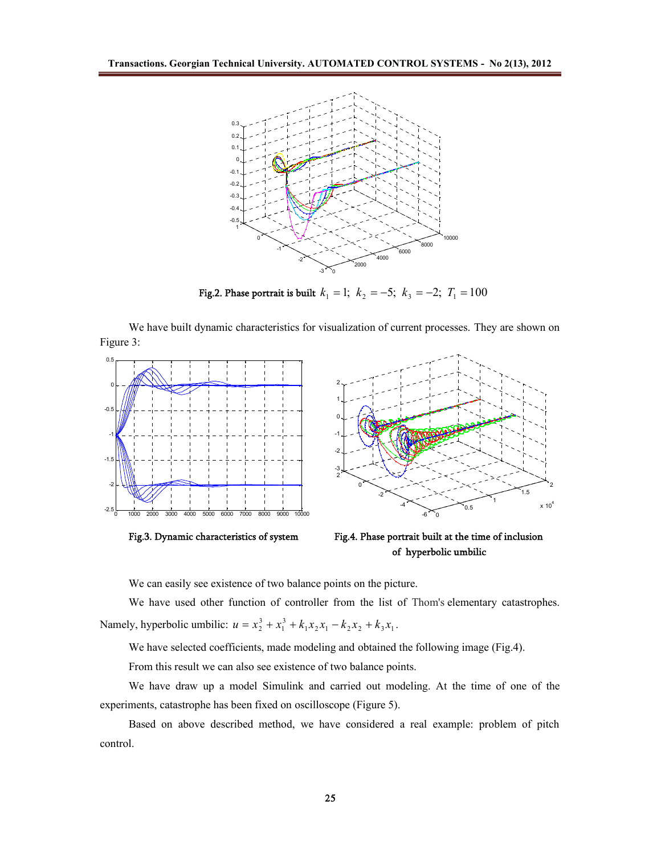

**Fig.2.** Phase portrait is built  $k_1 = 1$ ;  $k_2 = -5$ ;  $k_3 = -2$ ;  $T_1 = 100$ 

We have built dynamic characteristics for visualization of current processes. They are shown on Figure 3:



**of hyperbolic umbilic**

We can easily see existence of two balance points on the picture.

We have used other function of controller from the list of Thom's elementary catastrophes. Namely, hyperbolic umbilic:  $u = x_2^3 + x_1^3 + k_1x_2x_1 - k_2x_2 + k_3x_1$ .

We have selected coefficients, made modeling and obtained the following image (Fig.4).

From this result we can also see existence of two balance points.

We have draw up a model Simulink and carried out modeling. At the time of one of the experiments, catastrophe has been fixed on oscilloscope (Figure 5).

Based on above described method, we have considered a real example: problem of pitch control.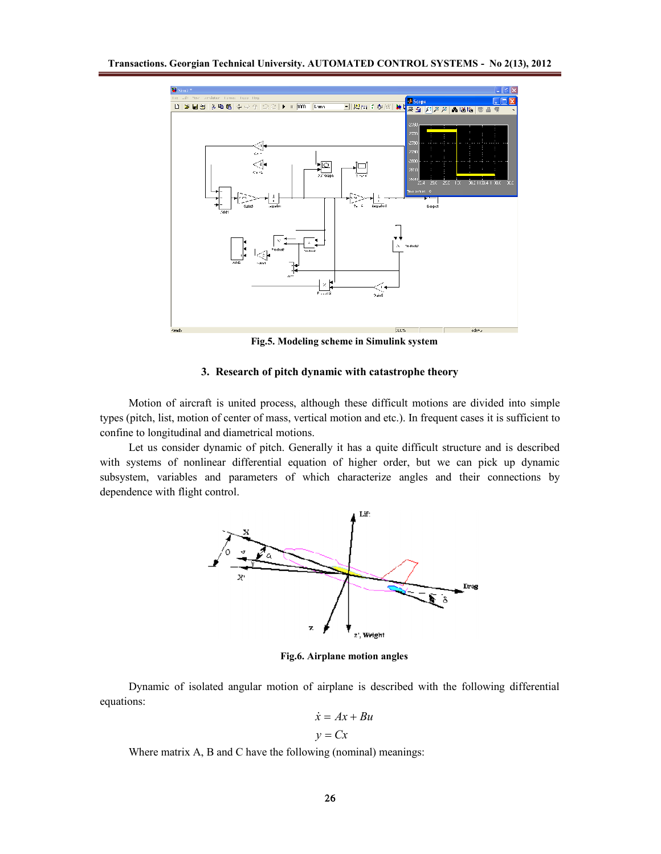

**Fig.5. Modeling scheme in Simulink system**

# **3. Research of pitch dynamic with catastrophe theory**

Motion of aircraft is united process, although these difficult motions are divided into simple types (pitch, list, motion of center of mass, vertical motion and etc.). In frequent cases it is sufficient to confine to longitudinal and diametrical motions.

Let us consider dynamic of pitch. Generally it has a quite difficult structure and is described with systems of nonlinear differential equation of higher order, but we can pick up dynamic subsystem, variables and parameters of which characterize angles and their connections by dependence with flight control.



**Fig.6. Airplane motion angles**

Dynamic of isolated angular motion of airplane is described with the following differential equations:

$$
\dot{x} = Ax + Bu
$$

$$
y = Cx
$$

Where matrix A, B and C have the following (nominal) meanings: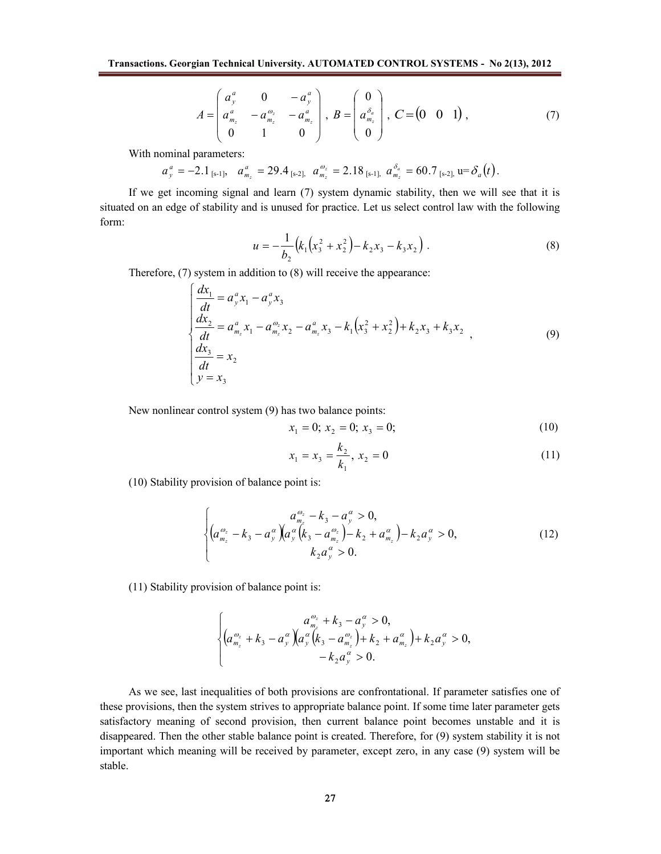$$
A = \begin{pmatrix} a_y^a & 0 & -a_y^a \\ a_{m_z}^a & -a_{m_z}^a & -a_{m_z}^a \\ 0 & 1 & 0 \end{pmatrix}, B = \begin{pmatrix} 0 \\ a_{m_z}^{\delta_a} \\ 0 \end{pmatrix}, C = \begin{pmatrix} 0 & 0 & 1 \end{pmatrix},
$$
 (7)

With nominal parameters:

 $a_y^a = -2.1_{\text{[s-1]}}, \quad a_{m_z}^a = 29.4_{\text{[s-2]}}, \quad a_{m_z}^{a_z} = 2.18_{\text{[s-1]}}, \quad a_{m_z}^{\delta_a} = 60.7_{\text{[s-2]}}, \quad u = \delta_a(t).$ 

If we get incoming signal and learn (7) system dynamic stability, then we will see that it is situated on an edge of stability and is unused for practice. Let us select control law with the following form:

$$
u = -\frac{1}{b_2} (k_1 (x_3^2 + x_2^2) - k_2 x_3 - k_3 x_2).
$$
 (8)

Therefore, (7) system in addition to (8) will receive the appearance:

$$
\begin{cases}\n\frac{dx_1}{dt} = a_y^a x_1 - a_y^a x_3 \\
\frac{dx_2}{dt} = a_{m_z}^a x_1 - a_{m_z}^{a_2} x_2 - a_{m_z}^a x_3 - k_1 (x_3^2 + x_2^2) + k_2 x_3 + k_3 x_2 \\
\frac{dx_3}{dt} = x_2 \\
y = x_3\n\end{cases}
$$
\n(9)

New nonlinear control system (9) has two balance points:

$$
x_1 = 0; \ x_2 = 0; \ x_3 = 0; \tag{10}
$$

$$
x_1 = x_3 = \frac{k_2}{k_1}, \ x_2 = 0 \tag{11}
$$

(10) Stability provision of balance point is:

$$
\begin{cases}\n a_{\frac{m}{2}}^{\omega_z} - k_3 - a_{\frac{m}{2}}^{\omega} > 0, \\
 \left( a_{\frac{m}{2}}^{\omega_z} - k_3 - a_{\frac{m}{2}}^{\omega} \right) \left( a_{\frac{m}{2}}^{\omega} \left( k_3 - a_{\frac{m}{2}}^{\omega} \right) - k_2 + a_{\frac{m}{2}}^{\omega} \right) - k_2 a_{\frac{m}{2}}^{\omega} > 0, \\
 k_2 a_{\frac{m}{2}}^{\omega} > 0.\n \end{cases}\n \tag{12}
$$

(11) Stability provision of balance point is:

$$
\begin{cases} a_{m_z}^{\omega_z} + k_3 - a_y^{\alpha} > 0, \\ \left( a_{m_z}^{\omega_z} + k_3 - a_y^{\alpha} \right) \left( a_y^{\alpha} \left( k_3 - a_{m_z}^{\omega_z} \right) + k_2 + a_{m_z}^{\alpha} \right) + k_2 a_y^{\alpha} > 0, \\ - k_2 a_y^{\alpha} > 0. \end{cases}
$$

As we see, last inequalities of both provisions are confrontational. If parameter satisfies one of these provisions, then the system strives to appropriate balance point. If some time later parameter gets satisfactory meaning of second provision, then current balance point becomes unstable and it is disappeared. Then the other stable balance point is created. Therefore, for (9) system stability it is not important which meaning will be received by parameter, except zero, in any case (9) system will be stable.